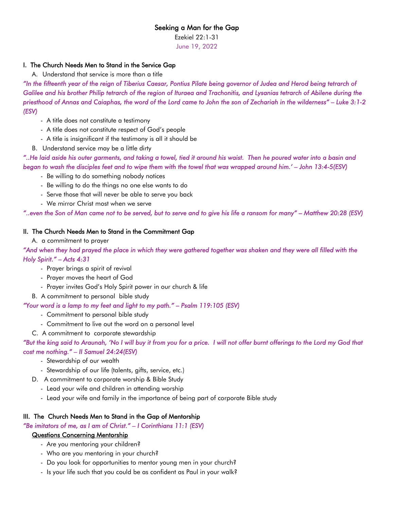## Seeking a Man for the Gap

Ezekiel 22:1-31

June 19, 2022

## I. The Church Needs Men to Stand in the Service Gap

A. Understand that service is more than a title

*"In the fifteenth year of the reign of Tiberius Caesar, Pontius Pilate being governor of Judea and Herod being tetrarch of Galilee and his brother Philip tetrarch of the region of Ituraea and Trachonitis, and Lysanias tetrarch of Abilene during the priesthood of Annas and Caiaphas, the word of the Lord came to John the son of Zechariah in the wilderness" – Luke 3:1-2 (ESV)* 

- A title does not constitute a testimony
- A title does not constitute respect of God's people
- A title is insignificant if the testimony is all it should be
- B. Understand service may be a little dirty

*"..He laid aside his outer garments, and taking a towel, tied it around his waist. Then he poured water into a basin and began to wash the disciples feet and to wipe them with the towel that was wrapped around him.' – John 13:4-5(ESV)*

- Be willing to do something nobody notices
- Be willing to do the things no one else wants to do
- Serve those that will never be able to serve you back
- We mirror Christ most when we serve

*"..even the Son of Man came not to be served, but to serve and to give his life a ransom for many" – Matthew 20:28 (ESV)*

#### II. The Church Needs Men to Stand in the Commitment Gap

A. a commitment to prayer

*"And when they had prayed the place in which they were gathered together was shaken and they were all filled with the Holy Spirit." – Acts 4:31* 

- Prayer brings a spirit of revival
- Prayer moves the heart of God
- Prayer invites God's Holy Spirit power in our church & life
- B. A commitment to personal bible study

#### *"Your word is a lamp to my feet and light to my path." – Psalm 119:105 (ESV)*

- Commitment to personal bible study
- Commitment to live out the word on a personal level
- C. A commitment to corporate stewardship

## *"But the king said to Araunah, 'No I will buy it from you for a price. I will not offer burnt offerings to the Lord my God that cost me nothing." – II Samuel 24:24(ESV)*

- Stewardship of our wealth
- Stewardship of our life (talents, gifts, service, etc.)
- D. A commitment to corporate worship & Bible Study
	- Lead your wife and children in attending worship
	- Lead your wife and family in the importance of being part of corporate Bible study

#### III. The Church Needs Men to Stand in the Gap of Mentorship

*"Be imitators of me, as I am of Christ." – I Corinthians 11:1 (ESV)*

### Questions Concerning Mentorship

- Are you mentoring your children?
- Who are you mentoring in your church?
- Do you look for opportunities to mentor young men in your church?
- Is your life such that you could be as confident as Paul in your walk?